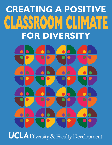# **CREATING A POSITIVE** CLASSROOM CLIMATE **FOR DIVERSITY**UCLA Diversity & Faculty Development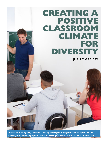# **CREATING A POSITIVE CLASSROOM CLIMATE FOR DIVERSITY**

**JUAN C. GARIBAY**

*Contact UCLA's office of Diversity & Faculty Development for permission to reproduce this booklet for educational purposes. Email [facdiversity@conet.ucla.edu](mailto:facdiversity%40conet.ucla.edu?subject=Creating%20a%20Positive%20Classroom%20Climate%20for%20Diversity) or call (310) 206-7411.*

 $6x - x$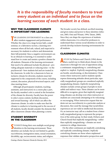# *It is the responsibility of faculty members to treat every student as an individual and to focus on the learning success of each student in a class.*

#### **WHY THE CLASSROOM CLIMATE IS IMPORTANT FOR LEARNING**

THE LEARNING ENVIRONMENT in a class can affect student engagement and performance. Whether the class is in a large lecture hall, a small seminar, or a laboratory section, a learning environment where all feel safe, valued, and respected is necessary for students to achieve and demonstrate their full potential. Since a negative environment can be an obstacle to learning, it is essential to understand how to create and sustain a positive climate for all students. Elements of the learning environment that need to be addressed include the physical—providing adequate materials or reducing noise—to the psychosocial—how students feel and are treated in the classroom. In order for a classroom to have an inclusive climate for diversity, students must feel supported in the components of the course, including content, discussion, physical/structural aspects, and class meeting times.

Although all participants (students, teaching assistants, and instructors) in a course play a part, the faculty member's role is central in the formation of the climate for diversity. Faculty have the power to select course content, facilitate discussion, and reward learning—all of which can affect the classroom climate. In order to make sure that the climate is conducive to learning and to the success of all students, faculty should consider the elements that affect classroom climate when planning a course.

#### **STUDENT DIVERSITY IN THE CLASSROOM**

**S**TUDENTS bring their own multiple social group identities to the learning environment. These identities can include, but are not limited to, gender, race/ethnicity, immigration status, sexual orientation, dis/ability, age, socioeconomic status, and religion.

The broader society has defined, ascribed meaning, and given status and power to these identities (Johnson, 2005; Omi and Winant, 1994; Tatum, 2000). Since they can shape the experiences of students within classrooms, it is critical for professors to understand these various social identities in order to actively develop inclusive learning environments for all students

# **CLASSROOM CLIMATES**

**A**STUDY by DeSurra and Church (1994) shows that a useful way to think about climate in the classroom is through two sets of oppositions along a continuum: marginalizing vs*.* centralizing and explicit vs*.* implicit. *Explicitly marginalizing* climates are hostile, unwelcoming, or discriminatory. Classrooms where instructors and/or students openly express demeaning attitudes about particular, especially marginalized, groups are considered explicitly marginalizing climates. *Implicitly marginalizing* climates exclude certain groups of people in more subtle and indirect ways. These climates can be more difficult to recognize, given that implicitly marginalizing climates can develop even when instructors or students are consciously attempting to be welcoming or encouraging. When instructors request that students not use race/ethnicity in a particular analysis or discussion, they send the message that racial/ethnic experiences are not valid in intellectual discussions. Or, an instructor may call on a student from a historically marginalized group to represent the perspectives of the entire group. In their study, DeSurra and Church found that implicitly marginalizing—rather than explicitly marginalizing—climates are most common in college classrooms.

On the other continuum are implicitly centralizing and explicitly centralizing climates. *Implicitly centralizing* climates are those where unplanned responses that validate alternative perspectives and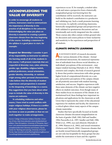# **ACKNOWLEDGING THE VALUE OF DIVERSITY**

**In order to encourage all students to achieve, instructors need to communicate the importance of diversity in the practice of all disciplines in the university. Acknowledging the value you place on diversity is essential to creating a positive classroom climate from the very beginning of the course. Including a statement in the syllabus is a good place to start, for example:**

**Respect for Diversity: I consider it part of my responsibility as instructor to address the learning needs of all of the students in this course. I will present materials that are respectful of diversity: race, color, ethnicity, gender, age, disability, religious beliefs, political preference, sexual orientation, gender identity, citizenship, or national origin among other personal characteristics. I also believe that the diversity of student experiences and perspectives is essential to the deepening of knowledge in a course. Any suggestions that you have about other ways to include the value of diversity in this course are welcome.** 

**In scheduling midterms and other exams, I have tried to avoid conflicts with major religious holidays. If there is a conflict with your religious observances, please let me know as soon as possible so that we can work together to make arrangements.**

*Sources:* College of Education Syllabus Checklist, University of Iowa*, [http://www.education.uiowa.edu/dean/policies/](http://www.education.uiowa.edu/dean/policies/syllabus) [syllabus](http://www.education.uiowa.edu/dean/policies/syllabus)*; Class Atmosphere, University of Minnesota, *[http://](http://www1.umn.edu/ohr/teachlearn/tutorials/syllabus/expectations/atmosphere/index.html) [www1.umn.edu/ohr/teachlearn/tutorials/syllabus/expectations/](http://www1.umn.edu/ohr/teachlearn/tutorials/syllabus/expectations/atmosphere/index.html) [atmosphere/index.html](http://www1.umn.edu/ohr/teachlearn/tutorials/syllabus/expectations/atmosphere/index.html)*; Diversity and Inclusion, Faculty Center for Teaching and Learning, University of Central Florida, *[http://www.fctl.ucf.edu/TeachingAndLearningResources/](http://www.fctl.ucf.edu/TeachingAndLearningResources/CourseDesign/Syllabus/statements.php#diversity) [CourseDesign/Syllabus/statements.php#diversity](http://www.fctl.ucf.edu/TeachingAndLearningResources/CourseDesign/Syllabus/statements.php#diversity)*

experiences occur. If, for example, a student takes a risk and raises a perspective from a historically marginalized group (not knowing how the contribution will be received), the instructor can build on the student's contribution in a productive and validating way. Such a result promotes learning for everyone. In *explicitly centralizing* classrooms, historically marginalized groups and perspectives are both validated in spontaneous discussions and are intentionally and overtly integrated into the content. These courses also often contain written ground rules for discussion and course policies to foster inclusivity and sensitivity to the experiences and perspectives of all students.

#### **CLIMATE IMPACTS LEARNING**

**A**N EXTENSIVE BODY of research documents how various elements of the climate—formal and informal interactions, the numerical representation of individuals from diverse social identities, or individuals' perceptions of the environment—may impact student learning (Hurtado et al. 2012). While extensive and complex, this body of research generally shows that positive interactions with other groups, higher levels of compositional diversity on a campus, and positive perceptions of the campus climate are all positively associated with student learning, satisfaction, and success. Negative experiences with these same elements of the climate can have negative effects on student outcomes. Even though many of these studies focus on measures of the climate at an institutional level, these findings have important implications and applications for the classroom as well. Given that it represents the center of the educational experience for students and faculty, the classroom is a critical sphere where many aspects of the campus climate materialize.

Studies that have specifically focused on hostile classroom climates document marginalization on the basis of gender (Hall, 1982; Hall and Sandler, 1984; Pascarella et al., 1997; Sandler and Hall, 1986; Whitt et al., 1999), race and ethnicity (Hurtado et al., 1999; Watson et al., 2002), and sexual orientation (DeSurra and Church, 1994). Classroom climates that are hostile toward historically marginalized groups are not only less hospitable for those groups but also inhibit the motivation to learn and the cognitive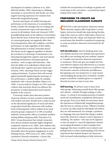development of students (Ambrose et al., 2010; Hall and Sandler, 1984). Expressing or validating stereotypes is a powerful way that faculty can create negative learning experiences for students from historically marginalized groups.

Because stereotypes can inhibit learning and performance in the classroom, it is essential that faculty consider the messages they are sending and actively communicate respect and expectation of success for all students. Steele and Aronson's (1995) groundbreaking study on the influence of stereotypes shows that the sense of threat that arises in members of a stereotyped group can negatively affect their level of preparation, their self-confidence, and their performance on tasks regardless of their ability. This phenomenon is termed "stereotype threat." This threat can be triggered regardless of whether the activation of a stereotype is intentional or not. Operating through both cognitive and motivational mediating mechanisms, stereotypes generate emotions—such as anger and frustration—that limit the ability of an individual to think clearly and disrupt their cognitive processes (Steele and Aronson, 1995). Stereotype threat can also trigger coping mechanisms. To protect their self-concept against potentially legitimizing the stereotype of low performance, a student might, for example, disidentify with a chosen discipline (Major et al., 1998). A recent study by Chang et al. (2011) presents evidence that stereotype threat can influence the persistence of underrepresented racial minority students in the sciences.

Conversely, studies show that more positive classroom climates can have a positive relationship with student outcomes. Results from a study focused on the educational significance of racial and ethnic composition found that classrooms with medium levels of heterogeneity (where students from racial minority groups composed 33 to 38% of enrolled students) reveal positive effects on students' problemsolving abilities and group skills (Terenzini et al., 2001). Group discussions that include viewpoints from diverse students stimulate higher integrative complexity (Antonio et al., 2004). And, students who interact with diverse peers within the classroom (and informally) show the greatest engagement in active thinking (Gurin, 1999; Gurin et al., 2002). Further, a professor's diversity orientation—a factor that

includes the incorporation of readings on gender and racial issues in the curriculum—can positively impact student GPA (Astin 1993).

## **PREPARING TO CREATE AN INCLUSIVE CLASSROOM CLIMATE**

**C**REATING a safe and inclusive classroom climate for diversity requires effort long before a course begins. Instructors should take steps during the planning of the course in order to help make a diverse set of students feel safe, valued, and respected. Below are several issues that should be considered in preparing to create an inclusive classroom environment for all students.

**Self-identification.** Start by thinking about your own identity and how your attitudes and experiences may affect your teaching and your students' responses. Consider your previous classroom experiences or incidences. These may give you insight into how your behavior impacts your effectiveness as a teacher. Consider your background and try to recall how you first became conscious of diversity and difference. Recognizing your own perspective is a step toward acknowledging the perspectives of students. Further, prepare yourself by considering how to respond if diversity becomes an issue in your class.

**Self-learning.** We all have more to learn from other groups. Informing yourself about other groups and cultures—whether through readings or other means—is critical to increasing awareness of student needs and of problematic assumptions about particular groups. Even if you think you may know about the experiences of historically marginalized groups, take the time to continue to learn. Offensive remarks or actions are often made by individuals who believe they are well intentioned. For example, a professor in a language class may think that asking a student who looks Asian how a phrase is said in Japanese is validating. The student—who may not be Japanese or may not speak it—may feel stigmatized. Instead, encouraging all students to share examples from languages they know would be more inclusive and perhaps lead to a better understanding of the diverse experiences that students bring to the classroom. Such increased understanding can help instructors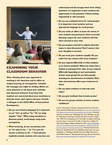

# **EXAMINING YOUR CLASSROOM BEHAVIOR**

**When thinking about your approach to teaching in the classroom and its effect on student learning, be introspective. Consider the messages you might be sending. Below are some questions to ask about your attitudes and classroom behavior. If you hear that students are concerned about your sensitivity to diversity issues, don't ignore the issue. Consult a colleague or the UCLA Office of Instructional Development.** 

- Do you use inclusive language? It is important **to use "she" as well as "he." Or, try using singular "they." When using anecdotes to illustrate points, avoid always using male protagonists.**
- **No When lecturing, do you use phrases such as "It's easy to see…" or "I'm sure the answer is obvious to all…"? Such phrases implicitly exclude students who may have not**

**understood and discourages them from asking questions. It's important to give students the opportunity to ask questions without feeling stigmatized or self-conscious.**

- **n** Do you use outdated terms for social groups? **It is important to be sensitive and use appropriate language for social groups.**
- **n** Do you make an effort to learn the names of **your students and pronounce them correctly? Showing respect for your students will help them succeed in your class.**
- **n** Do you prepare yourself to address diversity **issues in class discussions? Don't assume that your discipline is immune.**
- **n** Do you treat your students equally? Do you **make less eye contact with some students?**
- **n** Do you respond differently to white students **or to women students? When you notice that a student is unprepared for class, do you respond differently depending on your perceptions of their social group? Do you find yourself assessing the attractiveness of students? Does their attractiveness affect your treatment of them?**
- **n** Do you allow students to interrupt each **other?**
- Do you give feedback that includes praise?

#### **n** Do you use group activities to foster student **confidence?**

*Sources:* Teaching for Inclusion: Valuing the Diversity of Our Students, Southern Methodist University, *[http://www.smu.edu/Provost/](http://www.smu.edu/Provost/CTE/Resources/TeachCourse/TeachingSituations/Inclusion) [CTE/Resources/TeachCourse/TeachingSituations/Inclusion](http://www.smu.edu/Provost/CTE/Resources/TeachCourse/TeachingSituations/Inclusion)*; Diversity Issues for the Instructor: Identifying Your Own Attitudes, Center for Teaching and Learning, University of North Carolina, Chapel Hill, 1998; Five Competencies for Culturally Competent Teaching and Learning, C. Irish and M. Scrubb, Faculty Focus, Higher Ed Teaching Strategies, Magna Publications, 2012, *[http://www.faculty](http://www.facultyfocus.com/articles/teaching-and-learning/five-competencies-for-culturally-competent-teaching-and-learning/)[focus.com/articles/teaching-and-learning/five-competencies-for-cul](http://www.facultyfocus.com/articles/teaching-and-learning/five-competencies-for-culturally-competent-teaching-and-learning/)[turally-competent-teaching-and-learning/](http://www.facultyfocus.com/articles/teaching-and-learning/five-competencies-for-culturally-competent-teaching-and-learning/)*; Diversity Issues for the Instructor: Identifying Your Own Attitudes, *http://www.crlt.umich. edu/gsis/p3\_2*; Teaching In Racially Diverse College Classrooms, Derek Bok Center for Teaching and Learning, Harvard University, *<http://isites.harvard.edu/fs/html/icb.topic58474/TFTrace.html>*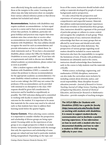more effectively bring the needs and concerns of those at the margins to the center. Learning about others may also help instructors draw on examples from various cultural reference points so that diverse students feel included and valued.

**Accommodations.** Students with disabilities may require academic accommodations—to have equal access in a course and to have an accurate measure of how they perform. In addition, particular religious holidays and practices may require that some students miss class certain days or receive other accommodations (not provided by the Office for Students with Disabilities). The class syllabus should recognize the need for such accommodations and provide information on how to submit them. Include statements such as "If you have a documented disability, please contact the Office for Students with Disabilities as soon as possible" and "If you have other requirements and wish to discuss non-disability related academic accommodations, please contact me as soon as possible."

After a student registers with the Office for Students with Disabilities (OSD), a counselor will contact the professor to discuss recommendations for the appropriate academic accommodation(s). For some disability-related academic accommodations (such as note-taking), the OSD may not contact the professor, if the accommodation can be provided with minimal to no disruption to the class. OSD requests should be given full consideration by instructors and be handled as expeditiously as possible. The OSD welcomes dialog and is committed to working with faculty to ensure the best possible outcome for the student. It is important to be aware that materials for the course may need to be selected early so that students have time to address their learning needs before the quarter begins.

**Course Content.** When selecting course content, it is important to consider whether the perspectives and scholarship of diverse groups are being represented. Focusing solely on the experiences of one group or on a single perspective is likely to exclude diverse viewpoints. Such exclusion sends the message that only the experiences and scholarship of some groups are valued and may lead to particular students feeling marginalized. Depending on the topic and

focus of the course, instructors should include scholarship or materials developed by people of various backgrounds and/or perspectives.

It is also critical that the perspectives and experiences of various groups be represented in a comprehensive and respectful manner. Materials that address underrepresented groups' experiences should not trivialize or disenfranchise these groups. Also, instructors should be cognizant of the portrayal of particular groups or cultures in course content and recognize the complexity of each group. When discussing issues of race, instructors should also acknowledge that there are many groups that are affected by racial issues and should avoid solely focusing on a black and white dichotomy. The perspectives of various groups regarding racial matters should be included in course materials. Instructors also have the responsibility to recognize the limitations of texts. If books with problematic limitations are ultimately used in the course, instructors should acknowledge these limitations early in the course to help students read the materials critically.

Within science, technology, engineering, and mathematics (STEM) disciplines, instructors can also make the curriculum more inclusive by including content about diversity, justice, and social responsibility. Many discipline-focused education journals—*Journal of Research in Science Teaching, Journal of College Science Teaching, Journal of Engineering Education, Journal of Chemical Education,* and *Journal for Research in Mathematics Education*—provide examples of teaching strategies

*The UCLA Office for Students with Disabilities (OSD) has a guide for faculty (<http://www.osd.ucla.edu/Faculty-Guide>) on working with students with disabilities. It is meant to support student-faculty communication and to facilitate a positive learning experience. It has information on how to work with a student who has a documented disability and how to refer a student to OSD who may be having difficulty in your class.*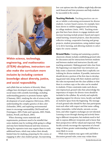

*Within science, technology, engineering, and mathematics (STEM) disciplines, instructors can also make the curriculum more inclusive by including content knowledge about diversity, justice, and social responsibility.* 

and syllabi that are inclusive of diversity. Many colleges have developed courses that bridge complex social issues with scientific knowledge, including understanding genetics to promote human rights (Chamany, 2001), studying the role of science in the development of racial categories (McGowan, 2005), understanding the complex genetics of skin color (Schneider, 2004), and exploring environmental issues to encourage sustainability (McDonald and Dominguez, 2005; Pratte and Laposata, 2005; Walsh, Jenkins, Powell, and Rusch, 2005).

When choosing course materials and requirements, professors need to be mindful that some students may be working while going to college and may have limited financial and time resources. Paying for expensive texts may require them to work additional hours, which may reduce their already limited time for studying, preparing for the course, or engaging in after-class student groups. Incorporating

low-cost options into the syllabus might help alleviate such financial and time pressures and help students be successful in the course.

**Teaching Methods.** Teaching practices can create or inhibit a welcoming environment for diverse students. Lecture-based courses, for example, have been shown to inhibit engagement and learning in college students (Astin, 1993). Teaching strategies that have been shown to engage students and increase learning include project-based and experiential learning, research projects, class discussions, reflective writing, cooperative learning and group projects, student presentations, using student inquiry to drive learning, and allowing students to select topics for course content.

**Ground Rules.** Creating and sustaining a positive classroom climate includes establishing ground rules for discussion and for interactions between students and between student and instructors (faculty and teaching assistants). Making ground rules clear from the beginning is an important way instructors can help create a classroom climate that is explicitly centralizing for diverse students. If possible, instructors should devote a portion of the first class to developing ground rules along with their students and have the rules incorporated into the class syllabus so that there is a written copy or the rules can be emailed to students. If time constraints make such discussion impractical, ground rules that acknowledge the importance of respect for diverse views should be included in the syllabus. By actively and explicitly signaling support for diverse views, faculty can build an inclusive space from the beginning. The message of such ground rules should be that class participants treat each other with respect and that name-calling, jokes, innuendos, verbal attacks, sarcasm, accusations, and other negative exchanges are not tolerated. Learning occurs through sharing and actively listening to different viewpoints, but students need to feel safe to express different viewpoints and to know that their perspectives will be valued and respected. When faculty actively encourage the expression of a broad range of ideas, greater understanding of difference is more likely to occur.

While most students may agree with and follow discussion ground rules, some may violate them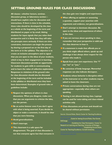# **SETTING GROUND RULES FOR CLASS DISCUSSIONS**

**All classes—whether lecture, seminar, discussion group, or laboratory section should have explicit rules for discussion and interactions. If there is time in the schedule, these rules should be developed by the class as a whole at the beginning of the term and distributed on paper or by email. Asking students for input signals that you value their perspective and it is likely that they will take the precepts more seriously. If there are time constraints, instructors can begin the process by sharing a proposed set on the first day of the term or in the syllabus. The objective is to create an inclusive atmosphere and to signal that you are open to the ideas of your students, which is key to their engagement in learning. Classroom discussions provide an opportunity for students to gain skills in communicating and to learn the value of collective exploration. Responses to violations of the ground rules for class discussion should also be discussed at the beginning of the term and be included in the syllabus or distributed once they have been determined. Examples of ground rules or guidelines include:**

- **n** Respect the opinions of others in class **discussions. When you disagree, make sure that you use arguments to criticize the idea, not the person.**
- **E** Be an active listener even if you don't agree **with what is being asserted. If you decide to object or make a comment, it should be clear that you were listening.**
- **n** Avoid generalizations.
- **n** Don't interrupt.
- **n** This classroom is a safe space for **disagreement. The goal of class discussion is not that everyone agree but that everyone in**

**the class gain new insights and experiences.**

- **Notable 1 When offering an opinion or answering a question, support your assertion with arguments and evidence, not generalizations.**
- **Don't attempt to dominate discussion. Be open to the ideas and experiences of others in the class.**
- **If you are nervous about speaking in class, remember that your perspective is valid and the class deserves to hear it.**
- **If a statement is made that offends you or you think might offend others, speak up and challenge it but always show respect for the person who made it.**
- Speak from your own experience. Use "I" **not "we" or "you."**
- **E** Be conscious of body language. Nonverbal **responses can also indicate disrespect.**
- **n** Students whose behavior is disruptive either **to the instructor or to other students may be asked to leave the classroom.**
- **n** Private conversations during class are not **appropriate—especially when others are speaking.**
- **n** Texting is not allowed during class. Laptops **can be used for note-taking and class-related activities only.**
- **n** Class discussions are private and should not **be shared without permission.**

*Sources:* Ground Rules, Eberly Center for Teaching Excellence,

*f*; Guide for Setting Ground Rules, Paul Gorski, EdChange, *[http://www.edchange.org/multicultural/activities/](http://www.edchange.org/multicultural/activities/groundrules.html) i*, Guidelines for Class Participation, Center for Research on Learning and Teaching, University of Michigan, **http://www.crlt.umich.org/index**.edu/ground Rules, Center for Teaching Excellence, Cornell University, *[http://www.](http://www.cte.cornell.edu/teaching-ideas/building-inclusive-classrooms/establishing-ground-rules.html)*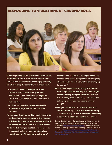# **RESPONDING TO VIOLATIONS OF GROUND RULES**



**When responding to the violation of ground rules, it is important for an instructor to remain calm and consider the violation a teaching opportunity for all, including the student who violated a rule.**

- *Be prepared.* **Develop strategies for these situations and consider what your own vulnerabilities and "hot buttons" might be. Check out some of the resources provided in this booklet.**
- *Don't ignore it.* **Ignoring a violation gives the impression that you don't take the rules seriously.**
- *Remain calm.* **It can be hard to remain calm when students in the class are upset or the situation is divisive, but taking a measured approach will help everyone in the class to stay calm as well.**
- *Model the behavior you would like students to use.* **If a student makes a clearly discriminatory remark such as "You people are always…,"**

**respond with "I felt upset when you made that remark. I felt that it marginalizes a whole group of people. Can you tell us what you were trying to express?"**

- *Use inclusive language by reframing.* **If a student, for example, speaks heatedly and seems angry, respond quietly by saying, "It sounds like you have a strong opinion about…, I am interested in hearing more. Can you expand on your point?"**
- *Avoid "you" statements.* **If a student interrupts another, don't say, "Stop! You are interrupting X." Instead, say, "X was in the middle of making a point. We'd all like to hear the rest of it."**

*Sources:* Creating Inclusive College Classrooms, S. Saunders and D. Kardia, Center for Research on Learning and Teaching, University of Michigan, *[http://www.crlt.umich.edu/gsis/f6]( http://www.crlt.umich.edu/gsis/f6)*; Interrupting Microagressions, G. Kenney, Diversity and Leadership Education, College of Holy Cross, *[http://academics.holycross.edu/sites/all/files/Center\\_for\\_](http://academics.holycross.edu/sites/all/files/Center_for_Teaching/2014%20January%20Workshop/Interrupting_Microaggressions_January2014.pdf) [Teaching/2014%20January%20Workshop/Interrupting\\_Microaggres-](http://academics.holycross.edu/sites/all/files/Center_for_Teaching/2014%20January%20Workshop/Interrupting_Microaggressions_January2014.pdf)*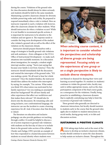during the course. Violations of the ground rules for class discussion should always be taken seriously and students should be held to the same standards. Maintaining a positive classroom climate for diversity includes preserving order and civility. Be prepared to respond immediately when a rule is violated. How an instructor responds to such a violation will, however, affect the classroom climate for other students. What should instructors do when a violation occurs? While it is not feasible to recommend specific actions, it is important for instructors to be attentive to the violation and not ignore it. The response needs to consider the long-term development of the student who violated a ground rule as well as the effect of the violation on the classroom climate.

Instructors should prepare themselves with a range of strategies to handle ground-rule violations and seek assistance—from colleagues or the UCLA Office of Instructional Development—to make such situations into teachable moments. In a discussion about immigration, for example, a student might interrupt another, saying, "You're just saying that because your family is not from America." First, the instructor should immediately halt the discussion and remind the interrupter of the ground rules, "XX was making a point. We all want to hear her whole comment." Once the student finishes, the instructor should then address the student who interrupted by saying, for example, "I'm curious. What makes you think XX's observation was motivated by her family experience? Are you making an assumption about her background? We all have family and other experiences that affect our worldviews and that makes them relevant." XX should also be drawn into the discussion. By remaining calm and using inclusive, non-confrontational language, the instructor can use the incident to create a learning experience for all. And, it becomes clear that diversity is valued.

The literature on education and inclusive pedagogy can also provide guidance on teaching through conflict. It would be helpful to discuss a set of action responses to ground-rule violations with students on the first day of class or to include them in the ground-rules section of the syllabus. Chesler and Zuñiga (1991) provide an example of how they responded to a heated discussion between students on sexual identity where students were



*When selecting course content, it is important to consider whether the perspectives and scholarship of diverse groups are being represented. Focusing solely on the experiences of one group or on a single perspective is likely to exclude diverse viewpoints.* 

not blamed or shamed for sharing their views and learning occurred together. If a student (or students) continues to violate the ground rules, faculty may seek to utilize appropriate means, such as the class participation component of the final course grade, as a consequence for the violations. Finally, being proactive in establishing a classroom dynamic that is explicitly centralizing may help to limit the occurrence of ground-rule violations.

These ground rules generally are directed to classroom interactions, but faculty should mention to students early in the course that the ground rules apply also to student-to-student interactions on social media, during group work, or in labs and discussion sections.

#### **SUSTAINING A POSITIVE CLIMATE**

**A**FTER taking steps before and at the onset of the course to develop an inclusive classroom climate, faculty should continue to assess the class dynamic to help sustain an inclusive climate. Throughout the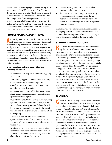course, use inclusive language. When lecturing, don't use phrases such as "It's easy to see…" or "I'm sure the answer is obvious to all…" Such phrases implicitly exclude students who may have not understood and discourages them from asking questions. As you work to maintain an explicitly centralizing classroom climate over the duration of the course, you should also consider how your assumptions about students may affect your behavior in the classroom.

## **PROBLEMATIC ASSUMPTIONS**

**A**STUDY by Saunders and Kardia (N.D.) shows that instructors can hold incorrect assumptions about student learning behaviors and capacities. When faculty hold such views, a negative learning environment can result and student learning is undermined. It is the responsibility of faculty members to treat every student as an individual and to focus on the learning success of each student in a class. The problematic assumptions listed below were selected from Saunders and Kardia's list.

#### **Incorrect Assumptions about Student Learning Behaviors**

- Students will seek help when they are struggling with a class.
- Poor writing suggests limited intellectual ability.
- Older students or students with physical disabilities are slower learners and require more attention from the instructor.
- Students whose cultural affiliation is tied to non-English speaking groups are not native English speakers or are bilingual.
- Students who are affiliated with a particular group (gender, race, ethnic, sexuality) are experts on issues related to that group and feel comfortable being seen as information sources to the rest of the class and the instructor who are not members of that group.
- European American students do not have opinions about issues of race or ethnicity and members of other groups do have opinions about these issues.
- All students from a particular group share the same view on an issue, and their perspective will necessarily be different from the majority of the class who are not from that group.
- In their reading, students will relate only to characters who resemble them.
- Students from certain groups are more likely to be argumentative or conflictual during class discussions or to not participate in class discussions or to bring a more radical agenda to class discussions.

Because developing an inclusive classroom climate is an ongoing process, faculty should consider and reconsider their assumptions before the course begins, during the course, and after the course ends.

#### **STUDENT INTERACTIONS**

**K**NOWING more about students and understand-<br>ing the nature of student interactions in the classroom is critical to creating inclusive educational environments. Interactions among students with differing social group identities may easily replicate the normative power relations in society, which privilege certain groups over others (for example, Adams et al., 2000; Johnson, 2005; Tatum, 2000). By ignoring and not opposing such negative interactions, faculty may be seen to be sanctioning such power norms and create a hostile learning environment for students from historically marginalized groups. Such interactions may also occur between students outside the classroom or over social media. Over the duration of the course, faculty should remind students to share any issues that come up regarding such interactions with other students with the instructor.

## **GRADING**

**RADING** practices may also affect the classroom climate. Faculty should be clear about their specific grading criteria and be consistent in their evaluations of student performance. Using different criteria for particular students should be avoided because they may create tensions and unfairly penalize those students. These differing criteria may also be based on problematic assumptions as opposed to accurate information. Examples include having higher expectations for Latina/o students in a Latin American studies class, having higher expectations for Japanese American students in a Japanese language course, or having higher expectations for students of color in an ethnic studies course.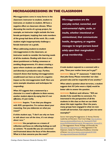# **MICROAGGRESSIONS IN THE CLASSROOM**

**Microaggressions come in many forms in the classroom: instructor to student, student to instructor, or student to student. All have a negative effect on classroom climate. When discussing the merits of a group project, for example, an instructor might exclude the lone female participant, implying that male members of the group had done all the work. Or, a male student might inappropriately challenge a female instructor on a grade.** 

**When addressing student-to-student microaggressions in the classroom, an instructor needs to consider the learning needs of all the students. Dealing with them is not about punishment or finding consensus or avoiding disagreements. It's about creating a space where students can address difference and diversity in productive ways. Further, research shows that leaving microaggressions unaddressed can have as much of a negative impact as the microaggression itself. Here are some example situations and techniques for responding:**

*When XX suggests that a statement by a character in a novel is offensive to Asian women, another student objects by saying that it's not offensive, it's just reality.* 

**RESPONSE: Inquire. "I see that you disagree with XX's perspective. I'm curious about your reasoning. Can you elaborate on what you mean?"**

*A white student says, "I don't see why we have to talk about race all the time, it's not always about race."*

**RESPONSE: Use paraphrase as a means of reflection and focus on reflecting feelings as well as content. "It sounds like you are concerned and frustrated about the focus of the discussion. What is it that concerns you the most?"**

*Microaggressions are the everyday verbal, nonverbal, and environmental slights, snubs, or insults, whether intentional or unintentional, that communicate hostile, derogatory, or negative messages to target persons based solely upon their marginalized group membership.* 

*Source:* Sue et al. 2007

*A male student responds to a comment with a joke, "Does your mother know you're gay?"* **RESPONSE: Use an "I" statement: "I didn't find that joke funny. Please remember our class ground rules and be respectful of one another."**

*When asked a question about terrorism, a student suggests that XX (who wears a hijab) would be better able to answer the question.*

**RESPONSE: Redirect and reframe. "XX can decide if she would like to comment. I'm interested in the perspectives of all the students in this class so that we can think about this topic together. Over the years, many groups have engaged in what we now would call terrorism. Can anyone give me some examples?"** 

*Sources:* Interrupting Microaggressions, G. Kenney, Diversity Leadership and Education, Holy Cross College, *[http://academics.](http://academics.holycross.edu/sites/all/files/Center_for_Teaching/2014%20January%20Workshop/Interrupting_Microaggressions_January2014.pdf) [holycross.edu/sites/all/files/Center\\_for\\_Teaching/2014%20](http://academics.holycross.edu/sites/all/files/Center_for_Teaching/2014%20January%20Workshop/Interrupting_Microaggressions_January2014.pdf) [January%20Workshop/Interrupting\\_Microaggressions\\_January2014.](http://academics.holycross.edu/sites/all/files/Center_for_Teaching/2014%20January%20Workshop/Interrupting_Microaggressions_January2014.pdf) [pdf](http://academics.holycross.edu/sites/all/files/Center_for_Teaching/2014%20January%20Workshop/Interrupting_Microaggressions_January2014.pdf)*; Microaggressions: Power, Privilege, and Everyday Life, *<http://www.microaggressions.com>*; Microaggressions in the Classroom, Center for Multicultural Excellence, University of Denver, *[http://otl.du.edu/wp-content/uploads/2013/03/](http://otl.du.edu/wp-content/uploads/2013/03/MicroAggressionsInClassroom-DUCME.pdf) [MicroAggressionsInClassroom-DUCME.pdf](http://otl.du.edu/wp-content/uploads/2013/03/MicroAggressionsInClassroom-DUCME.pdf)*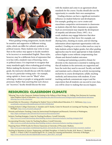

When grading writing assignments, faculty should be sensitive and supportive of different writing styles, which can differ for cultural, symbolic, or political reasons. Many students may write in ways that on the surface may appear to faculty members to be incorrect or nonstandard English. These styles, however, may be a deliberate form of expression that is in line with a student's ways of knowing, views, or political stance. It is important to recognize that many standards apply when evaluating good writing. Before making the decision to lower a student's grade, the instructor should discuss with the student the use of a particular writing style—for example, using capitals vs. lower-case for "Black" when referring to culture or people or using gender-neutral pronouns. Rather than asserting that such choices are "incorrect," faculty should discuss the issue

with the student and come to an agreement about standards for the course. Faculty should also use the opportunity to consider their own assumptions.

Grading schemes can have a significant normative influence on student behavior and development. For example, grading on a curve creates and exacerbates competitive environments in classrooms as students objectify their classmates as opponents. Such an environment may impede the development of empathy and altruism (Fines, 1997). As a result, students may engage behaviors that skew the competition in their favor (for example, not sharing notes, cheating on exams, and not sharing information about important opportunities with one another). Grading on a curve is often used as a way to help students achieve higher grades, but other grading approaches may be more appropriate to help students achieve higher scores without compromising class climate and desired student outcomes.

Creating and sustaining a positive climate for diversity in the classroom is essential to making sure that all students in the university are supported and have the tools they need to succeed. Faculty can build and maintain such a climate by actively incorporating inclusivity in course development, syllabi, teaching methods, and interactions with students. If your teaching methods communicate respect and the expectation that all students can succeed in your class, you will be closer to making that success happen.

# **RESOURCES: CLASSROOM CLIMATE**

- "Allowing" Race in the Classroom: Students Existing in the Fullness of their Beings, J.A. Helling, New Horizons for Learning, Johns Hopkins School of Education, *[http://education.jhu.edu/PD/newhorizons/strategies/topics/multicultural-education/](http://education.jhu.edu/PD/newhorizons/strategies/topics/multicultural-education/allowing-race-in-the-classroom/) [allowing-race-in-the-classroom/](http://education.jhu.edu/PD/newhorizons/strategies/topics/multicultural-education/allowing-race-in-the-classroom/)*
- Ground Rules for Discussion: A Roadmap for Student Voices in Multicultural Education, D. C. McKinney, *[http://www.](http://www.socialstudies.org/system/files/publications/yl/1501/150106.html) [socialstudies.org/system/files/publications/yl/1501/150106.html](http://www.socialstudies.org/system/files/publications/yl/1501/150106.html)*
- Creating Inclusive College Classrooms, S. Saunders and D. Kardia, Center for Research on Learning and Teaching, University of Michigan, *<http://www.crlt.umich.edu/gsis/f6>*
- Diversity and Inclusive Teaching, Center for Instructional Development and Research, University of Washington, *<http://depts.washington.edu/cidrweb/OLD/resources/diversitytools.html>*
- Inclusive Teaching Strategies, Center for Teaching Excellence, Cornell University, *<http://www.cte.cornell.edu/teaching-ideas/building-inclusive-classrooms/inclusive-teaching-strategies.html>*
- Incorporating Diversity, Center for Teaching Excellence, Cornell University, *<http://www.cte.cornell.edu/teaching-ideas/building-inclusive-classrooms/inclusive-teaching-strategies.html>*
- Preparing Future STEM Faculty for Diverse Classrooms at University of Wisconsin–Madison, *[http://www.aacu.org/campus-model/preparing-future-stem-faculty-diverse-classrooms-university-wisconsin–madison](http://www.aacu.org/campus-model/preparing-future-stem-faculty-diverse-classrooms-university-wisconsin-madison)*
- Teaching for Retention in Science, Engineering, and Math Disciplines: A Guide For Faculty, M.K. Brown, C. Hershock, C. J. Finelli, C. O'Neal, CCRLT Occasional Papers No. 25, Center for Learning and Retention, University of Michigan, *[http://www.crlt.umich.edu/sites/default/files/resource\\_files/CRLT\\_no25.pdf](http://www.crlt.umich.edu/sites/default/files/resource_files/CRLT_no25.pdf)*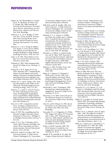# **REFERENCES**

- Adams, M., W.J. Blumenfeld, R. Castañeda, R., H. Hackman, M. Peters, and X. Zuñiga, Eds. 2000. *Readings for Diversity and Social Justice: An Anthology on Racism, Antisemitism, Sex-Ism, Heterosexism, Ableism, and Classism.* New York: Routledge.
- Ambrose, S. A., M. W. Bridges, D. DiPietro, M.C. Lovett, and M.K. Norman. 2010. *How Learning Works: Seven Research-Based Principles for Smart Teaching.* San Francisco, CA: Jossey-Bass.
- Antonio, A. L., M. J. Chang, K. Hakuta, D.A. Kenny, S. Levin, and J.F. Milem. 2004. Effects of racial diversity on complex thinking in college students. *Psychological Science,* 15(8), 507-510.
- Astin, A. W. 1993. *What Matters in College: Four Critical Years Revisited.* San Francisco: Jossey-Bass.
- Chamany, K. 2001. Niños desaparecidos. *Journal of College Science Teaching*, 31, 61-65.
- Chang, M. J., M. K. Eagan, M. H. Lin, and S. Hurtado. 2011. Considering the impact of racial stigmas and science identity: Persistence among biomedical and behavioral science aspirants. *Journal of Higher Education*, 82(5), 564-596.
- Chesler, M. A., and X. Zuñiga. 1991. Dealing with prejudice and conflict in the classroom: The pink triangle exercise. *Teaching Sociology*, 19(2), 173-181.
- DeSurra, C. J., and K.A. Church. November 1994. Unlocking the classroom closet: Privileging the marginalized voices of gay/lesbian college students. Paper presented at the Annual Meeting of the Speech Communication Association: New Orleans, LA.
- Fines, B. G. 1997. Competition and the curve: Academic evaluations focus. *University of Missouri Kansas City Law Review*, 65(4), 879-915.
- Gurin, P. 1999. The compelling need for diversity in higher education: Expert testimony in Gratz et al. *v.* Bollinger et al. *Michigan Journal of Race and Law,* 5, 363-425.
- Gurin, P., E. L. Dey, S. Hurtado, and G. Gurin. 2002. Diversity and higher education: Theory and impact on educational outcomes. *Harvard Educational Review,* 72(3), 330-366.
- Hall, R.M., with B. R. Sandler. 1982. T*he Classroom Climate: A Chilly One for Women?* Washington, DC: Association

of American Colleges, Project on the Status and Education of Women.

- Hall, R.M., and B. R. Sandler. 1984. *Out of the Classroom: A Chilly Climate for Women?* Washington, DC: Association of American Colleges, Project on the Status and Education of Women.
- Hurtado, S., C. L., Alvarez, C. Guillermo-Wann, M. Cuellar, and L. Arellano. 2012. A model for diverse learning environments: The scholarship on creating and assessing conditions for student success. In J. C. Smart and M. B. Paulsen (eds.), *Higher Education: Handbook of Theory and Research, Volume 27.* New York, NY: Springer.
- Hurtado, S., J. Milem, A. Clayton-Pederson, and W. Allen. 1999. *Enacting Diverse Learning Environments: Improving the Climate For Racial/Ethnic Diversity In Higher Education.* ASHE-ERIC Higher Education Report, 26 (8). San Francisco: Jossey-Bass.
- Johnson, A. 2005. *Privilege, Power, and Difference.* 2nd ed. Boston: Mc-Graw-Hill.
- Major, B., S. Spencer, T. Schmader, C. Wolfe, and J. Crocker. 1998. Coping with negative stereotypes about intellectual performance: The role of psychological disengagement. *Personality and Social Psychology Bulletin,*  24(1), 34-50.
- McDonald, J., and L. Dominguez. 2005. Moving from content knowledge to engagement. *Journal of College Science Teaching*, 35, 18-22.
- McGowan, A. H. 2005. Genes and race in the classroom: Science in a social context. *Journal of College Science Teaching*, 34, 30-33.
- Omi, M., and H. Winant, H. 1994. *Racial Formations in the United States: From the 1960s to the 1990s*. New York: Routledge.
- Pascarella, E.T., L.S. Hagedorn, E.J. Whitt, P.M. Yeager, M.I. Edison, P.T. Terenzini, and A. Nora. 1997. Women's perceptions of a "chilly climate" and their cognitive outcomes during the first year of college. *Journal of College Student Development,* 38 (2), 109-24.
- Pratte, J., and M. Laposata. 2005. The ESA21 project: A model for civic engagement. *Journal of College Science Teaching,* 35, 39-43.
- Sandler, B. R., and Hall, R. M. 1986. *The Campus Climate Revisited: Chilly for*

*Women Faculty, Administrators and Graduate Students.* Washington, DC: Association of American Colleges, Project on the Status and Education of Women.

- Saunders, S., and D. Kardia. N.D. Creating Inclusive College Classrooms. University of Michigan Center for Research on Learning and Teaching, *[http://www.](http://www.crlt.umich.edu/gsis/p3_1 ) [crlt.umich.edu/gsis/p3\\_1](http://www.crlt.umich.edu/gsis/p3_1 )*
- Schneider, P. 2004. The genetics and evolution of human skin color: The case of Desiree's baby. *Journal of College Science Teaching,* 34, 20-22.
- Sue, D.W., C. M. Capodilupo, G. C. Torino, J. M. Bucceri, A. M. B. Holder, K. L. Nadal, and M. Esquilin. 2007. Racial microaggressions in everyday life: Implications for clinical practice. *American Psychologist,* 62(4), 271–286.
- Steele, C. M., and J. Aronson. 1995. Stereotype threat and the intellectual test performance of African Americans. *Journal of Personality and Social Psychology*, 69(5), 797-811.
- Tatum, B. 2000. Who am I? The complexity of identity. In M. Adams, W. J. Blumenfeld, R. Castaneda, H. Hackman, M. Peters, and X. Zuñiga (Eds.), *Readings for Diversity and Social Justice: An Anthology on Racism, Antisemitism, Sexism, Heterosexism, Ableism, And Classism.* New York: Routledge.
- Terenzini, P. T., A.F. Cabrera, C.L. Colbeck, S. A. Bjorklund, and J.M. Parente. 2001. Racial and ethnic diversity in the classroom: Does it promote student learning? *Journal of Higher Education*, 72(5), 509-531.
- Walsh, M., D. Jenkins, K. Powell, and K. Rusch. 2005. The campus lake learning community: Promoting a multidisciplinary approach to problem solving. *Journal of College Science Teaching*, 34, 24-27.
- Watson, W. E., L. Johnson, and G.D. Zgourides . 2002. The influence of ethnic diversity on leadership, group process, and performance: An examination of learning teams. *International Journal of Intercultural Relations,* 26(1), 1-16.
- Whitt, E. J., Edison, M. I., Pascarella, E. T., and Terenzini, P. T. 1999. The "chilly climate" for women and cognitive outcomes in the second and third years of college. *Journal of College Student Development,* 40, 163-177.